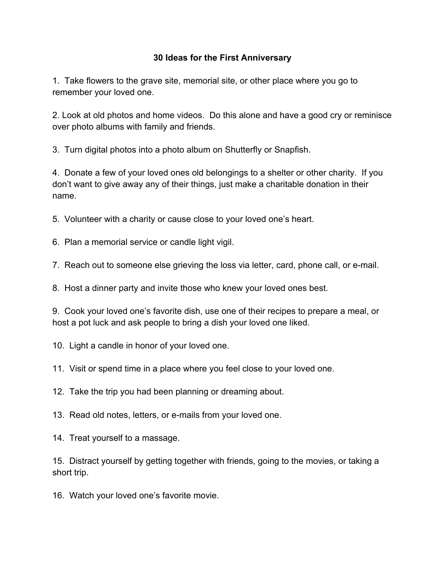## **30 Ideas for the First Anniversary**

1. Take flowers to the grave site, memorial site, or other place where you go to remember your loved one.

2. Look at old photos and home videos. Do this alone and have a good cry or reminisce over photo albums with family and friends.

3. Turn digital photos into a photo album on Shutterfly or Snapfish.

4. Donate a few of your loved ones old belongings to a shelter or other charity. If you don't want to give away any of their things, just make a charitable donation in their name.

5. Volunteer with a charity or cause close to your loved one's heart.

6. Plan a memorial service or candle light vigil.

7. Reach out to someone else grieving the loss via letter, card, phone call, or e-mail.

8. Host a dinner party and invite those who knew your loved ones best.

9. Cook your loved one's favorite dish, use one of their recipes to prepare a meal, or host a pot luck and ask people to bring a dish your loved one liked.

10. Light a candle in honor of your loved one.

11. Visit or spend time in a place where you feel close to your loved one.

12. Take the trip you had been planning or dreaming about.

13. Read old notes, letters, or e-mails from your loved one.

14. Treat yourself to a massage.

15. Distract yourself by getting together with friends, going to the movies, or taking a short trip.

16. Watch your loved one's favorite movie.